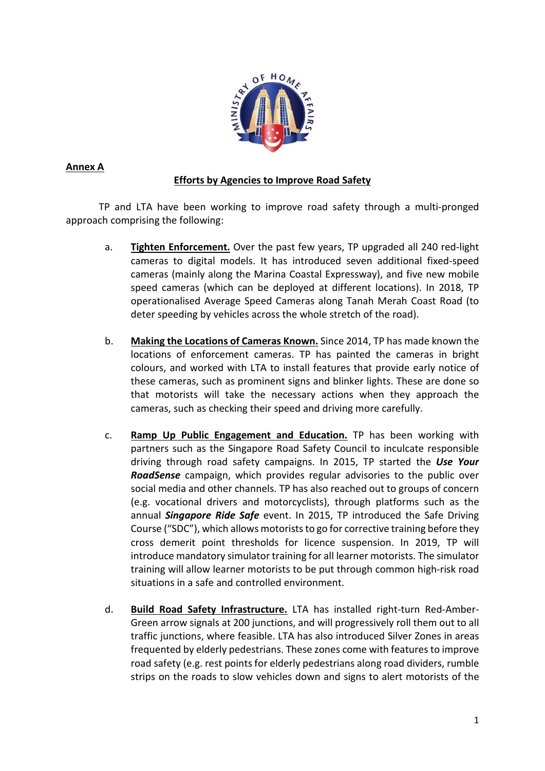

# **Annex A**

# **Efforts by Agencies to Improve Road Safety**

TP and LTA have been working to improve road safety through a multi-pronged approach comprising the following:

- a. **Tighten Enforcement.** Over the past few years, TP upgraded all 240 red-light cameras to digital models. It has introduced seven additional fixed-speed cameras (mainly along the Marina Coastal Expressway), and five new mobile speed cameras (which can be deployed at different locations). In 2018, TP operationalised Average Speed Cameras along Tanah Merah Coast Road (to deter speeding by vehicles across the whole stretch of the road).
- b. **Making the Locations of Cameras Known.** Since 2014, TP has made known the locations of enforcement cameras. TP has painted the cameras in bright colours, and worked with LTA to install features that provide early notice of these cameras, such as prominent signs and blinker lights. These are done so that motorists will take the necessary actions when they approach the cameras, such as checking their speed and driving more carefully.
- c. **Ramp Up Public Engagement and Education.** TP has been working with partners such as the Singapore Road Safety Council to inculcate responsible driving through road safety campaigns. In 2015, TP started the *Use Your RoadSense* campaign, which provides regular advisories to the public over social media and other channels. TP has also reached out to groups of concern (e.g. vocational drivers and motorcyclists), through platforms such as the annual *Singapore Ride Safe* event. In 2015, TP introduced the Safe Driving Course ("SDC"), which allows motorists to go for corrective training before they cross demerit point thresholds for licence suspension. In 2019, TP will introduce mandatory simulator training for all learner motorists. The simulator training will allow learner motorists to be put through common high-risk road situations in a safe and controlled environment.
- d. **Build Road Safety Infrastructure.** LTA has installed right-turn Red-Amber-Green arrow signals at 200 junctions, and will progressively roll them out to all traffic junctions, where feasible. LTA has also introduced Silver Zones in areas frequented by elderly pedestrians. These zones come with featuresto improve road safety (e.g. rest points for elderly pedestrians along road dividers, rumble strips on the roads to slow vehicles down and signs to alert motorists of the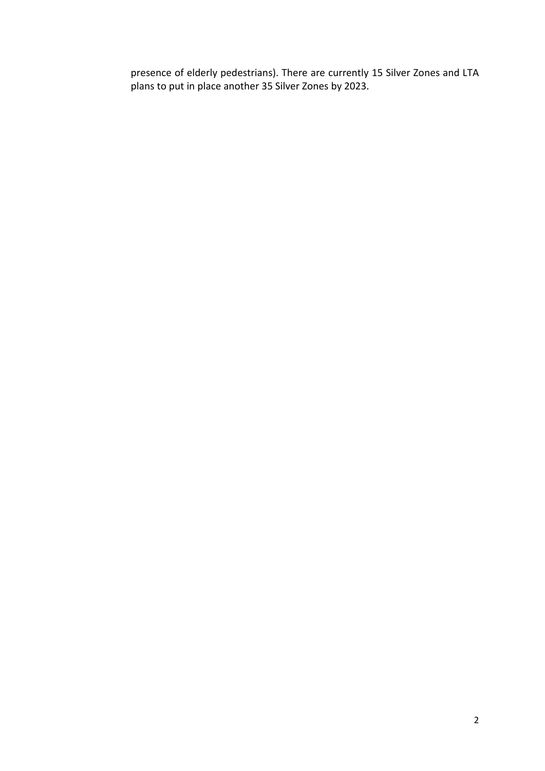presence of elderly pedestrians). There are currently 15 Silver Zones and LTA plans to put in place another 35 Silver Zones by 2023.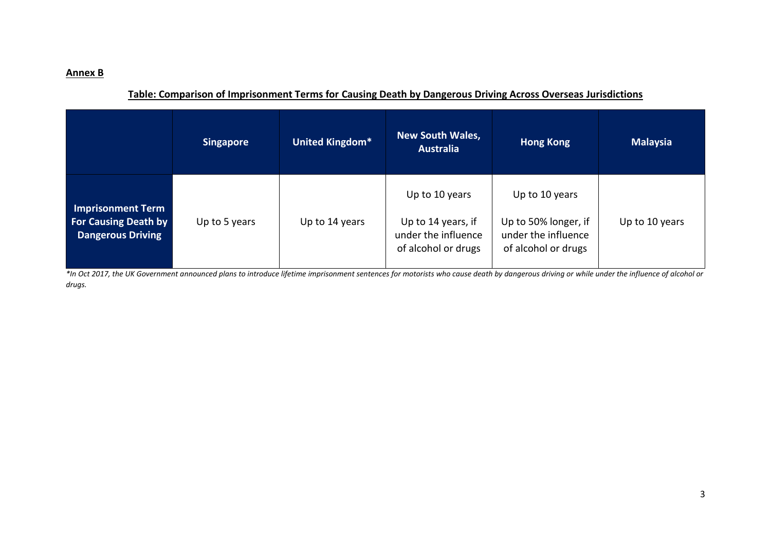# **Annex B**

# **Table: Comparison of Imprisonment Terms for Causing Death by Dangerous Driving Across Overseas Jurisdictions**

|                                                                                     | <b>Singapore</b> | United Kingdom* | <b>New South Wales,</b><br><b>Australia</b>                                        | <b>Hong Kong</b>                                                                     | <b>Malaysia</b> |
|-------------------------------------------------------------------------------------|------------------|-----------------|------------------------------------------------------------------------------------|--------------------------------------------------------------------------------------|-----------------|
| <b>Imprisonment Term</b><br><b>For Causing Death by</b><br><b>Dangerous Driving</b> | Up to 5 years    | Up to 14 years  | Up to 10 years<br>Up to 14 years, if<br>under the influence<br>of alcohol or drugs | Up to 10 years<br>Up to 50% longer, if<br>under the influence<br>of alcohol or drugs | Up to 10 years  |

*\*In Oct 2017, the UK Government announced plans to introduce lifetime imprisonment sentences for motorists who cause death by dangerous driving or while under the influence of alcohol or drugs.*